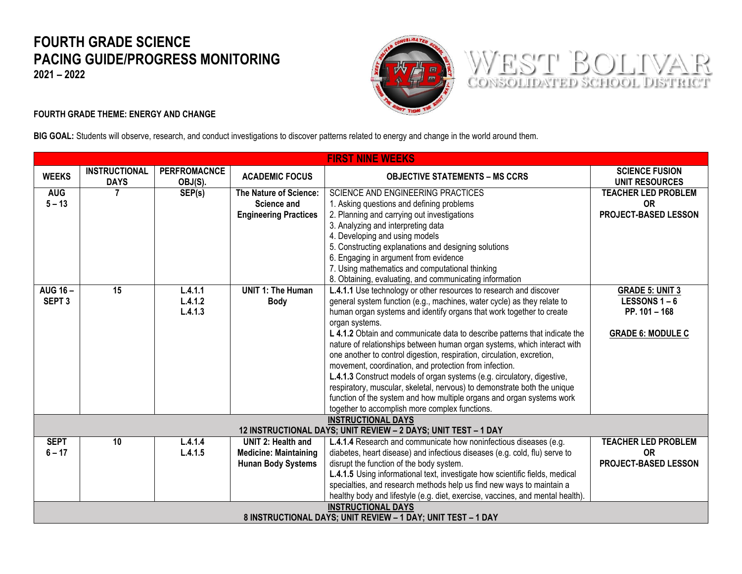## **FOURTH GRADE SCIENCE PACING GUIDE/PROGRESS MONITORING**

**2021 – 2022**



WEST BOLIVAR

## **FOURTH GRADE THEME: ENERGY AND CHANGE**

**BIG GOAL:** Students will observe, research, and conduct investigations to discover patterns related to energy and change in the world around them.

| <b>FIRST NINE WEEKS</b>                                        |                                                                                |                                |                              |                                                                                                                                                    |                                                |  |  |
|----------------------------------------------------------------|--------------------------------------------------------------------------------|--------------------------------|------------------------------|----------------------------------------------------------------------------------------------------------------------------------------------------|------------------------------------------------|--|--|
| <b>WEEKS</b>                                                   | <b>INSTRUCTIONAL</b><br><b>DAYS</b>                                            | <b>PERFROMACNCE</b><br>OBJ(S). | <b>ACADEMIC FOCUS</b>        | <b>OBJECTIVE STATEMENTS – MS CCRS</b>                                                                                                              | <b>SCIENCE FUSION</b><br><b>UNIT RESOURCES</b> |  |  |
| <b>AUG</b>                                                     | $\overline{7}$                                                                 | SEP(s)                         | The Nature of Science:       | <b>SCIENCE AND ENGINEERING PRACTICES</b>                                                                                                           | <b>TEACHER LED PROBLEM</b>                     |  |  |
| $5 - 13$                                                       |                                                                                |                                | Science and                  | 1. Asking questions and defining problems                                                                                                          | <b>OR</b>                                      |  |  |
|                                                                |                                                                                |                                | <b>Engineering Practices</b> | 2. Planning and carrying out investigations                                                                                                        | PROJECT-BASED LESSON                           |  |  |
|                                                                |                                                                                |                                |                              | 3. Analyzing and interpreting data                                                                                                                 |                                                |  |  |
|                                                                |                                                                                |                                |                              | 4. Developing and using models                                                                                                                     |                                                |  |  |
|                                                                |                                                                                |                                |                              | 5. Constructing explanations and designing solutions                                                                                               |                                                |  |  |
|                                                                |                                                                                |                                |                              | 6. Engaging in argument from evidence                                                                                                              |                                                |  |  |
|                                                                |                                                                                |                                |                              | 7. Using mathematics and computational thinking                                                                                                    |                                                |  |  |
|                                                                |                                                                                |                                |                              | 8. Obtaining, evaluating, and communicating information                                                                                            |                                                |  |  |
| <b>AUG 16-</b>                                                 | $\overline{15}$                                                                | L.4.1.1                        | <b>UNIT 1: The Human</b>     | L.4.1.1 Use technology or other resources to research and discover                                                                                 | <b>GRADE 5: UNIT 3</b>                         |  |  |
| SEPT <sub>3</sub>                                              |                                                                                | L.4.1.2                        | <b>Body</b>                  | general system function (e.g., machines, water cycle) as they relate to                                                                            | <b>LESSONS 1-6</b>                             |  |  |
|                                                                |                                                                                | L.4.1.3                        |                              | human organ systems and identify organs that work together to create                                                                               | PP. 101 - 168                                  |  |  |
|                                                                |                                                                                |                                |                              | organ systems.                                                                                                                                     |                                                |  |  |
|                                                                |                                                                                |                                |                              | L 4.1.2 Obtain and communicate data to describe patterns that indicate the                                                                         | <b>GRADE 6: MODULE C</b>                       |  |  |
|                                                                |                                                                                |                                |                              | nature of relationships between human organ systems, which interact with<br>one another to control digestion, respiration, circulation, excretion, |                                                |  |  |
|                                                                |                                                                                |                                |                              | movement, coordination, and protection from infection.                                                                                             |                                                |  |  |
|                                                                |                                                                                |                                |                              | L.4.1.3 Construct models of organ systems (e.g. circulatory, digestive,                                                                            |                                                |  |  |
|                                                                |                                                                                |                                |                              | respiratory, muscular, skeletal, nervous) to demonstrate both the unique                                                                           |                                                |  |  |
|                                                                |                                                                                |                                |                              | function of the system and how multiple organs and organ systems work                                                                              |                                                |  |  |
|                                                                |                                                                                |                                |                              | together to accomplish more complex functions.                                                                                                     |                                                |  |  |
| <b>INSTRUCTIONAL DAYS</b>                                      |                                                                                |                                |                              |                                                                                                                                                    |                                                |  |  |
| 12 INSTRUCTIONAL DAYS; UNIT REVIEW - 2 DAYS; UNIT TEST - 1 DAY |                                                                                |                                |                              |                                                                                                                                                    |                                                |  |  |
| <b>SEPT</b>                                                    | 10                                                                             | L.4.1.4                        | <b>UNIT 2: Health and</b>    | L.4.1.4 Research and communicate how noninfectious diseases (e.g.                                                                                  | <b>TEACHER LED PROBLEM</b>                     |  |  |
| $6 - 17$                                                       |                                                                                | L.4.1.5                        | <b>Medicine: Maintaining</b> | diabetes, heart disease) and infectious diseases (e.g. cold, flu) serve to                                                                         | <b>OR</b>                                      |  |  |
|                                                                |                                                                                |                                | <b>Hunan Body Systems</b>    | disrupt the function of the body system.                                                                                                           | <b>PROJECT-BASED LESSON</b>                    |  |  |
|                                                                |                                                                                |                                |                              | L.4.1.5 Using informational text, investigate how scientific fields, medical                                                                       |                                                |  |  |
|                                                                |                                                                                |                                |                              | specialties, and research methods help us find new ways to maintain a                                                                              |                                                |  |  |
|                                                                | healthy body and lifestyle (e.g. diet, exercise, vaccines, and mental health). |                                |                              |                                                                                                                                                    |                                                |  |  |
| <b>INSTRUCTIONAL DAYS</b>                                      |                                                                                |                                |                              |                                                                                                                                                    |                                                |  |  |
| 8 INSTRUCTIONAL DAYS; UNIT REVIEW - 1 DAY; UNIT TEST - 1 DAY   |                                                                                |                                |                              |                                                                                                                                                    |                                                |  |  |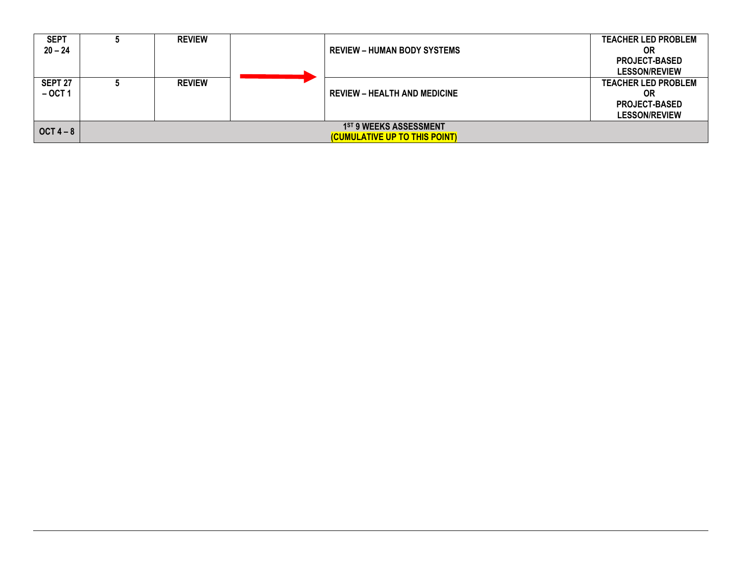| <b>SEPT</b> | <b>REVIEW</b> |                                     | <b>TEACHER LED PROBLEM</b> |
|-------------|---------------|-------------------------------------|----------------------------|
| $20 - 24$   |               | <b>REVIEW - HUMAN BODY SYSTEMS</b>  | ΟR                         |
|             |               |                                     | <b>PROJECT-BASED</b>       |
|             |               |                                     | <b>LESSON/REVIEW</b>       |
| SEPT 27     | <b>REVIEW</b> |                                     | <b>TEACHER LED PROBLEM</b> |
| $-$ OCT 1   |               | <b>REVIEW - HEALTH AND MEDICINE</b> | OR                         |
|             |               |                                     | <b>PROJECT-BASED</b>       |
|             |               |                                     | <b>LESSON/REVIEW</b>       |
| $OCT 4 - 8$ |               | 1ST 9 WEEKS ASSESSMENT              |                            |
|             |               | (CUMULATIVE UP TO THIS POINT)       |                            |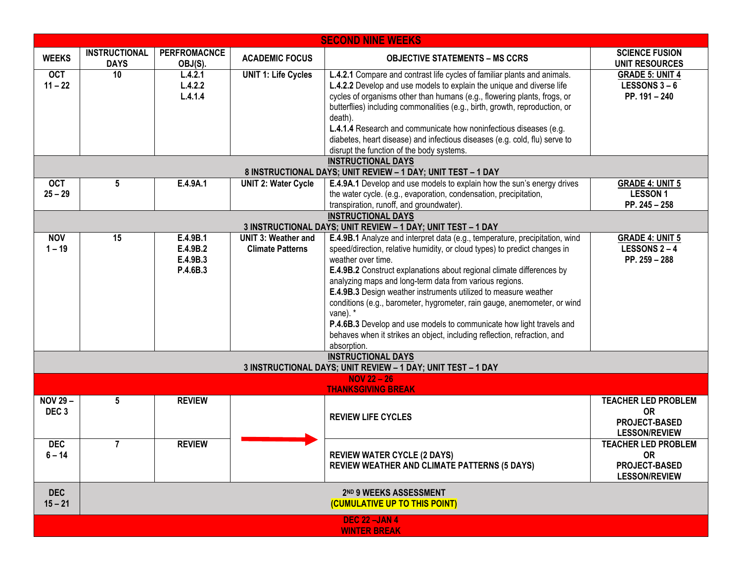| <b>SECOND NINE WEEKS</b>                                                                  |                                                         |                                              |                                                       |                                                                                                                                                                                                                                                                                                                                                                                                                                                                                                                                                                                                                                                  |                                                                                         |  |
|-------------------------------------------------------------------------------------------|---------------------------------------------------------|----------------------------------------------|-------------------------------------------------------|--------------------------------------------------------------------------------------------------------------------------------------------------------------------------------------------------------------------------------------------------------------------------------------------------------------------------------------------------------------------------------------------------------------------------------------------------------------------------------------------------------------------------------------------------------------------------------------------------------------------------------------------------|-----------------------------------------------------------------------------------------|--|
| <b>WEEKS</b>                                                                              | <b>INSTRUCTIONAL</b><br><b>DAYS</b>                     | <b>PERFROMACNCE</b><br>OBJ(S).               | <b>ACADEMIC FOCUS</b>                                 | <b>OBJECTIVE STATEMENTS - MS CCRS</b>                                                                                                                                                                                                                                                                                                                                                                                                                                                                                                                                                                                                            | <b>SCIENCE FUSION</b><br><b>UNIT RESOURCES</b>                                          |  |
| <b>OCT</b><br>$11 - 22$                                                                   | 10                                                      | L.4.2.1<br>L.4.2.2<br>L.4.1.4                | <b>UNIT 1: Life Cycles</b>                            | L.4.2.1 Compare and contrast life cycles of familiar plants and animals.<br>L.4.2.2 Develop and use models to explain the unique and diverse life<br>cycles of organisms other than humans (e.g., flowering plants, frogs, or<br>butterflies) including commonalities (e.g., birth, growth, reproduction, or<br>death).<br>L.4.1.4 Research and communicate how noninfectious diseases (e.g.<br>diabetes, heart disease) and infectious diseases (e.g. cold, flu) serve to<br>disrupt the function of the body systems.                                                                                                                          | <b>GRADE 5: UNIT 4</b><br><b>LESSONS 3-6</b><br>PP. 191 - 240                           |  |
|                                                                                           |                                                         |                                              |                                                       | <b>INSTRUCTIONAL DAYS</b><br>8 INSTRUCTIONAL DAYS; UNIT REVIEW - 1 DAY; UNIT TEST - 1 DAY                                                                                                                                                                                                                                                                                                                                                                                                                                                                                                                                                        |                                                                                         |  |
| <b>OCT</b><br>$25 - 29$                                                                   | 5                                                       | E.4.9A.1                                     | <b>UNIT 2: Water Cycle</b>                            | E.4.9A.1 Develop and use models to explain how the sun's energy drives<br>the water cycle. (e.g., evaporation, condensation, precipitation,<br>transpiration, runoff, and groundwater).                                                                                                                                                                                                                                                                                                                                                                                                                                                          | <b>GRADE 4: UNIT 5</b><br><b>LESSON1</b><br>PP. 245 - 258                               |  |
| <b>INSTRUCTIONAL DAYS</b><br>3 INSTRUCTIONAL DAYS; UNIT REVIEW - 1 DAY; UNIT TEST - 1 DAY |                                                         |                                              |                                                       |                                                                                                                                                                                                                                                                                                                                                                                                                                                                                                                                                                                                                                                  |                                                                                         |  |
| <b>NOV</b><br>$1 - 19$                                                                    | 15                                                      | E.4.9B.1<br>E.4.9B.2<br>E.4.9B.3<br>P.4.6B.3 | <b>UNIT 3: Weather and</b><br><b>Climate Patterns</b> | E.4.9B.1 Analyze and interpret data (e.g., temperature, precipitation, wind<br>speed/direction, relative humidity, or cloud types) to predict changes in<br>weather over time.<br>E.4.9B.2 Construct explanations about regional climate differences by<br>analyzing maps and long-term data from various regions.<br>E.4.9B.3 Design weather instruments utilized to measure weather<br>conditions (e.g., barometer, hygrometer, rain gauge, anemometer, or wind<br>vane). *<br>P.4.6B.3 Develop and use models to communicate how light travels and<br>behaves when it strikes an object, including reflection, refraction, and<br>absorption. | <b>GRADE 4: UNIT 5</b><br><b>LESSONS 2-4</b><br>PP. 259 - 288                           |  |
|                                                                                           |                                                         |                                              |                                                       | <b>INSTRUCTIONAL DAYS</b><br>3 INSTRUCTIONAL DAYS; UNIT REVIEW - 1 DAY; UNIT TEST - 1 DAY                                                                                                                                                                                                                                                                                                                                                                                                                                                                                                                                                        |                                                                                         |  |
|                                                                                           |                                                         |                                              |                                                       | <b>NOV 22 - 26</b><br><b>THANKSGIVING BREAK</b>                                                                                                                                                                                                                                                                                                                                                                                                                                                                                                                                                                                                  |                                                                                         |  |
| $NOV 29 -$<br>DEC <sub>3</sub>                                                            | 5                                                       | <b>REVIEW</b>                                |                                                       | <b>REVIEW LIFE CYCLES</b>                                                                                                                                                                                                                                                                                                                                                                                                                                                                                                                                                                                                                        | <b>TEACHER LED PROBLEM</b><br><b>OR</b><br><b>PROJECT-BASED</b><br><b>LESSON/REVIEW</b> |  |
| <b>DEC</b><br>$6 - 14$                                                                    | $\overline{7}$                                          | <b>REVIEW</b>                                |                                                       | <b>REVIEW WATER CYCLE (2 DAYS)</b><br><b>REVIEW WEATHER AND CLIMATE PATTERNS (5 DAYS)</b>                                                                                                                                                                                                                                                                                                                                                                                                                                                                                                                                                        | <b>TEACHER LED PROBLEM</b><br><b>OR</b><br>PROJECT-BASED<br><b>LESSON/REVIEW</b>        |  |
| <b>DEC</b><br>$15 - 21$                                                                   | 2ND 9 WEEKS ASSESSMENT<br>(CUMULATIVE UP TO THIS POINT) |                                              |                                                       |                                                                                                                                                                                                                                                                                                                                                                                                                                                                                                                                                                                                                                                  |                                                                                         |  |
| <b>DEC 22-JAN 4</b><br><b>WINTER BREAK</b>                                                |                                                         |                                              |                                                       |                                                                                                                                                                                                                                                                                                                                                                                                                                                                                                                                                                                                                                                  |                                                                                         |  |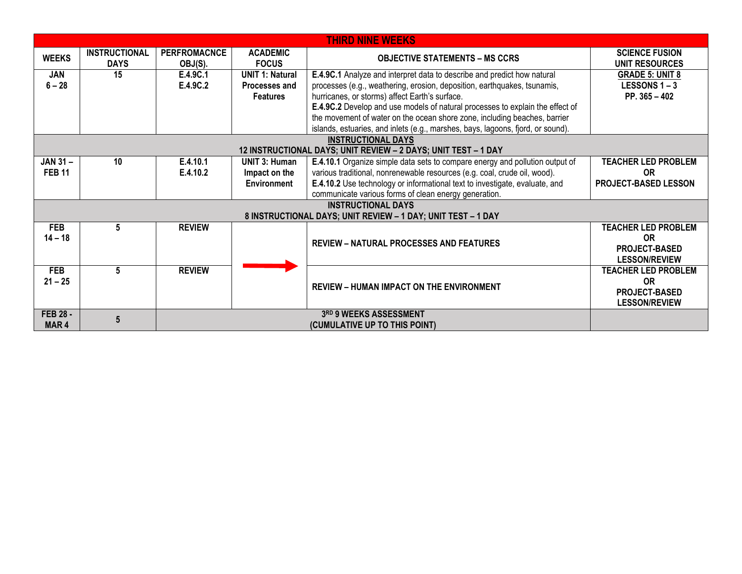| <b>THIRD NINE WEEKS</b>                                        |                                     |                                |                                 |                                                                                 |                                                |  |  |
|----------------------------------------------------------------|-------------------------------------|--------------------------------|---------------------------------|---------------------------------------------------------------------------------|------------------------------------------------|--|--|
| <b>WEEKS</b>                                                   | <b>INSTRUCTIONAL</b><br><b>DAYS</b> | <b>PERFROMACNCE</b><br>OBJ(S). | <b>ACADEMIC</b><br><b>FOCUS</b> | <b>OBJECTIVE STATEMENTS – MS CCRS</b>                                           | <b>SCIENCE FUSION</b><br><b>UNIT RESOURCES</b> |  |  |
| <b>JAN</b>                                                     | 15                                  | E.4.9C.1                       | <b>UNIT 1: Natural</b>          | E.4.9C.1 Analyze and interpret data to describe and predict how natural         | <b>GRADE 5: UNIT 8</b>                         |  |  |
| $6 - 28$                                                       |                                     | E.4.9C.2                       | Processes and                   | processes (e.g., weathering, erosion, deposition, earthquakes, tsunamis,        | <b>LESSONS 1 – 3</b>                           |  |  |
|                                                                |                                     |                                | <b>Features</b>                 | hurricanes, or storms) affect Earth's surface.                                  | PP. $365 - 402$                                |  |  |
|                                                                |                                     |                                |                                 | E.4.9C.2 Develop and use models of natural processes to explain the effect of   |                                                |  |  |
|                                                                |                                     |                                |                                 | the movement of water on the ocean shore zone, including beaches, barrier       |                                                |  |  |
|                                                                |                                     |                                |                                 | islands, estuaries, and inlets (e.g., marshes, bays, lagoons, fjord, or sound). |                                                |  |  |
|                                                                |                                     |                                |                                 | <b>INSTRUCTIONAL DAYS</b>                                                       |                                                |  |  |
| 12 INSTRUCTIONAL DAYS; UNIT REVIEW - 2 DAYS; UNIT TEST - 1 DAY |                                     |                                |                                 |                                                                                 |                                                |  |  |
| <b>JAN 31-</b>                                                 | 10                                  | E.4.10.1                       | <b>UNIT 3: Human</b>            | E.4.10.1 Organize simple data sets to compare energy and pollution output of    | <b>TEACHER LED PROBLEM</b>                     |  |  |
| <b>FEB 11</b>                                                  |                                     | E.4.10.2                       | Impact on the                   | various traditional, nonrenewable resources (e.g. coal, crude oil, wood).       | <b>OR</b>                                      |  |  |
|                                                                |                                     |                                | <b>Environment</b>              | E.4.10.2 Use technology or informational text to investigate, evaluate, and     | PROJECT-BASED LESSON                           |  |  |
|                                                                |                                     |                                |                                 | communicate various forms of clean energy generation.                           |                                                |  |  |
| <b>INSTRUCTIONAL DAYS</b>                                      |                                     |                                |                                 |                                                                                 |                                                |  |  |
|                                                                |                                     |                                |                                 | 8 INSTRUCTIONAL DAYS; UNIT REVIEW - 1 DAY; UNIT TEST - 1 DAY                    |                                                |  |  |
| <b>FEB</b>                                                     | 5                                   | <b>REVIEW</b>                  |                                 |                                                                                 | <b>TEACHER LED PROBLEM</b>                     |  |  |
| $14 - 18$                                                      |                                     |                                |                                 |                                                                                 | <b>OR</b>                                      |  |  |
|                                                                |                                     |                                |                                 | <b>REVIEW - NATURAL PROCESSES AND FEATURES</b>                                  | <b>PROJECT-BASED</b>                           |  |  |
|                                                                |                                     |                                |                                 |                                                                                 | <b>LESSON/REVIEW</b>                           |  |  |
| <b>FEB</b>                                                     | 5                                   | <b>REVIEW</b>                  |                                 |                                                                                 | <b>TEACHER LED PROBLEM</b>                     |  |  |
| $21 - 25$                                                      |                                     |                                |                                 |                                                                                 | <b>OR</b>                                      |  |  |
|                                                                |                                     |                                |                                 | <b>REVIEW - HUMAN IMPACT ON THE ENVIRONMENT</b>                                 | <b>PROJECT-BASED</b>                           |  |  |
|                                                                |                                     |                                |                                 |                                                                                 | <b>LESSON/REVIEW</b>                           |  |  |
| <b>FEB 28 -</b>                                                | $5\phantom{.0}$                     |                                |                                 | 3RD 9 WEEKS ASSESSMENT                                                          |                                                |  |  |
| MAR <sub>4</sub>                                               |                                     |                                |                                 | (CUMULATIVE UP TO THIS POINT)                                                   |                                                |  |  |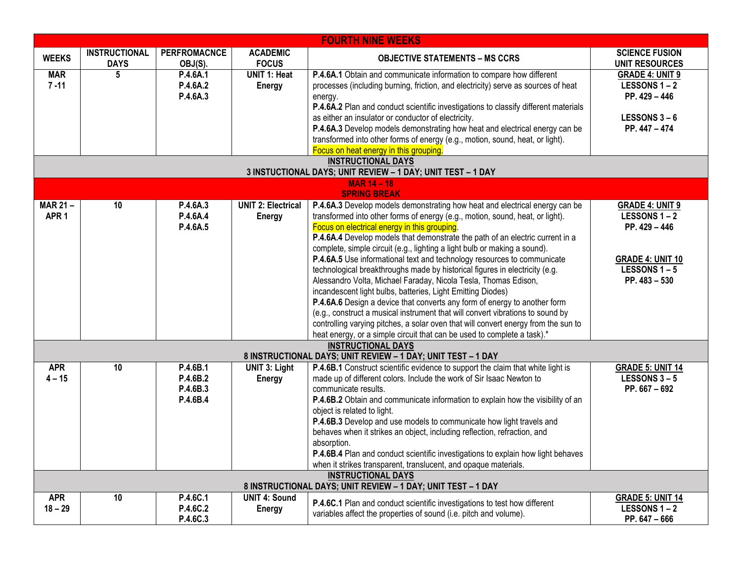| <b>FOURTH NINE WEEKS</b>                                                                  |                                     |                                              |                                            |                                                                                                                                                                                                                                                                                                                                                                                                                                                                                                                                                                                                                                                                                                                                                                                                                                                                                                                                                                                                                               |                                                                                                                                 |
|-------------------------------------------------------------------------------------------|-------------------------------------|----------------------------------------------|--------------------------------------------|-------------------------------------------------------------------------------------------------------------------------------------------------------------------------------------------------------------------------------------------------------------------------------------------------------------------------------------------------------------------------------------------------------------------------------------------------------------------------------------------------------------------------------------------------------------------------------------------------------------------------------------------------------------------------------------------------------------------------------------------------------------------------------------------------------------------------------------------------------------------------------------------------------------------------------------------------------------------------------------------------------------------------------|---------------------------------------------------------------------------------------------------------------------------------|
| <b>WEEKS</b>                                                                              | <b>INSTRUCTIONAL</b><br><b>DAYS</b> | <b>PERFROMACNCE</b><br>OBJ(S).               | <b>ACADEMIC</b><br><b>FOCUS</b>            | <b>OBJECTIVE STATEMENTS - MS CCRS</b>                                                                                                                                                                                                                                                                                                                                                                                                                                                                                                                                                                                                                                                                                                                                                                                                                                                                                                                                                                                         | <b>SCIENCE FUSION</b><br><b>UNIT RESOURCES</b>                                                                                  |
| <b>MAR</b><br>$7 - 11$                                                                    | 5                                   | P.4.6A.1<br>P.4.6A.2<br>P.4.6A.3             | <b>UNIT 1: Heat</b><br><b>Energy</b>       | P.4.6A.1 Obtain and communicate information to compare how different<br>processes (including burning, friction, and electricity) serve as sources of heat<br>energy.                                                                                                                                                                                                                                                                                                                                                                                                                                                                                                                                                                                                                                                                                                                                                                                                                                                          | <b>GRADE 4: UNIT 9</b><br>LESSONS 1-2<br>PP. 429 - 446                                                                          |
|                                                                                           |                                     |                                              |                                            | P.4.6A.2 Plan and conduct scientific investigations to classify different materials<br>as either an insulator or conductor of electricity.<br>P.4.6A.3 Develop models demonstrating how heat and electrical energy can be<br>transformed into other forms of energy (e.g., motion, sound, heat, or light).                                                                                                                                                                                                                                                                                                                                                                                                                                                                                                                                                                                                                                                                                                                    | <b>LESSONS 3 - 6</b><br>PP. 447 - 474                                                                                           |
|                                                                                           |                                     |                                              |                                            | Focus on heat energy in this grouping.                                                                                                                                                                                                                                                                                                                                                                                                                                                                                                                                                                                                                                                                                                                                                                                                                                                                                                                                                                                        |                                                                                                                                 |
|                                                                                           |                                     |                                              |                                            | <b>INSTRUCTIONAL DAYS</b><br>3 INSTUCTIONAL DAYS; UNIT REVIEW - 1 DAY; UNIT TEST - 1 DAY                                                                                                                                                                                                                                                                                                                                                                                                                                                                                                                                                                                                                                                                                                                                                                                                                                                                                                                                      |                                                                                                                                 |
|                                                                                           |                                     |                                              |                                            | <b>MAR 14 - 18</b>                                                                                                                                                                                                                                                                                                                                                                                                                                                                                                                                                                                                                                                                                                                                                                                                                                                                                                                                                                                                            |                                                                                                                                 |
| <b>MAR 21-</b><br>APR <sub>1</sub>                                                        | 10                                  | P.4.6A.3<br>P.4.6A.4<br>P.4.6A.5             | <b>UNIT 2: Electrical</b><br><b>Energy</b> | <b>SPRING BREAK</b><br>P.4.6A.3 Develop models demonstrating how heat and electrical energy can be<br>transformed into other forms of energy (e.g., motion, sound, heat, or light).<br>Focus on electrical energy in this grouping.<br>P.4.6A.4 Develop models that demonstrate the path of an electric current in a<br>complete, simple circuit (e.g., lighting a light bulb or making a sound).<br>P.4.6A.5 Use informational text and technology resources to communicate<br>technological breakthroughs made by historical figures in electricity (e.g.<br>Alessandro Volta, Michael Faraday, Nicola Tesla, Thomas Edison,<br>incandescent light bulbs, batteries, Light Emitting Diodes)<br>P.4.6A.6 Design a device that converts any form of energy to another form<br>(e.g., construct a musical instrument that will convert vibrations to sound by<br>controlling varying pitches, a solar oven that will convert energy from the sun to<br>heat energy, or a simple circuit that can be used to complete a task).* | <b>GRADE 4: UNIT 9</b><br><b>LESSONS 1-2</b><br>PP. 429 - 446<br><b>GRADE 4: UNIT 10</b><br><b>LESSONS 1-5</b><br>PP. 483 - 530 |
|                                                                                           |                                     |                                              |                                            | <b>INSTRUCTIONAL DAYS</b><br>8 INSTRUCTIONAL DAYS; UNIT REVIEW - 1 DAY; UNIT TEST - 1 DAY                                                                                                                                                                                                                                                                                                                                                                                                                                                                                                                                                                                                                                                                                                                                                                                                                                                                                                                                     |                                                                                                                                 |
| <b>APR</b><br>$4 - 15$                                                                    | 10                                  | P.4.6B.1<br>P.4.6B.2<br>P.4.6B.3<br>P.4.6B.4 | <b>UNIT 3: Light</b><br><b>Energy</b>      | P.4.6B.1 Construct scientific evidence to support the claim that white light is<br>made up of different colors. Include the work of Sir Isaac Newton to<br>communicate results.<br>P.4.6B.2 Obtain and communicate information to explain how the visibility of an<br>object is related to light.<br>P.4.6B.3 Develop and use models to communicate how light travels and<br>behaves when it strikes an object, including reflection, refraction, and<br>absorption.<br>P.4.6B.4 Plan and conduct scientific investigations to explain how light behaves<br>when it strikes transparent, translucent, and opaque materials.                                                                                                                                                                                                                                                                                                                                                                                                   | <b>GRADE 5: UNIT 14</b><br><b>LESSONS 3-5</b><br>PP. $667 - 692$                                                                |
| <b>INSTRUCTIONAL DAYS</b><br>8 INSTRUCTIONAL DAYS; UNIT REVIEW - 1 DAY; UNIT TEST - 1 DAY |                                     |                                              |                                            |                                                                                                                                                                                                                                                                                                                                                                                                                                                                                                                                                                                                                                                                                                                                                                                                                                                                                                                                                                                                                               |                                                                                                                                 |
| <b>APR</b><br>$18 - 29$                                                                   | 10                                  | P.4.6C.1<br>P.4.6C.2<br>P.4.6C.3             | <b>UNIT 4: Sound</b><br>Energy             | P.4.6C.1 Plan and conduct scientific investigations to test how different<br>variables affect the properties of sound (i.e. pitch and volume).                                                                                                                                                                                                                                                                                                                                                                                                                                                                                                                                                                                                                                                                                                                                                                                                                                                                                | <b>GRADE 5: UNIT 14</b><br><b>LESSONS 1-2</b><br>PP. 647 - 666                                                                  |